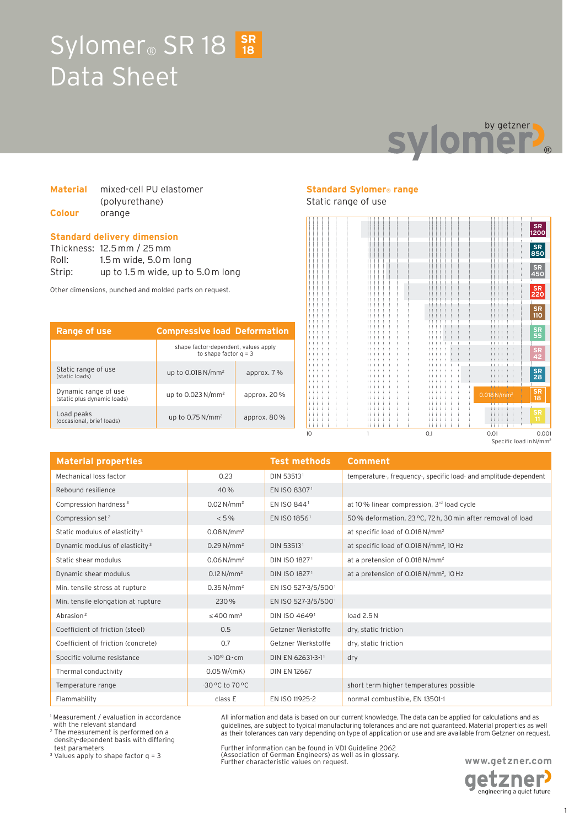## Sylomer<sup>®</sup> SR 18 3R Data Sheet **18**



### **Material** mixed-cell PU elastomer (polyurethane) **Colour** orange

#### **Standard delivery dimension**

Thickness: 12.5 mm / 25 mm Roll: 1.5 m wide, 5.0 m long Strip: up to 1.5 m wide, up to 5.0 m long

Other dimensions, punched and molded parts on request.

| Range of use                                        | <b>Compressive load Deformation</b>                             |                |
|-----------------------------------------------------|-----------------------------------------------------------------|----------------|
|                                                     | shape factor-dependent, values apply<br>to shape factor $q = 3$ |                |
| Static range of use<br>(static loads)               | up to $0.018$ N/mm <sup>2</sup>                                 | approx. 7%     |
| Dynamic range of use<br>(static plus dynamic loads) | up to 0.023 N/mm <sup>2</sup>                                   | approx. $20\%$ |
| Load peaks<br>(occasional, brief loads)             | up to $0.75$ N/mm <sup>2</sup>                                  | approx. $80\%$ |

### **Standard Sylomer® range**

### Static range of use



| <b>Material properties</b>                 |                            | <b>Test methods</b>      | <b>Comment</b>                                                   |
|--------------------------------------------|----------------------------|--------------------------|------------------------------------------------------------------|
| Mechanical loss factor                     | 0.23                       | DIN 535131               | temperature-, frequency-, specific load- and amplitude-dependent |
| Rebound resilience                         | 40%                        | EN ISO 83071             |                                                                  |
| Compression hardness <sup>3</sup>          | $0.02 N/mm^2$              | EN ISO 8441              | at 10% linear compression, 3rd load cycle                        |
| Compression set <sup>2</sup>               | $< 5\%$                    | EN ISO 1856 <sup>1</sup> | 50% deformation, 23 °C, 72 h, 30 min after removal of load       |
| Static modulus of elasticity <sup>3</sup>  | $0.08 N/mm^2$              |                          | at specific load of 0.018 N/mm <sup>2</sup>                      |
| Dynamic modulus of elasticity <sup>3</sup> | $0.29 N/mm^2$              | DIN 535131               | at specific load of 0.018 N/mm <sup>2</sup> , 10 Hz              |
| Static shear modulus                       | $0.06 N/mm^2$              | DIN ISO 18271            | at a pretension of 0.018 N/mm <sup>2</sup>                       |
| Dynamic shear modulus                      | $0.12 N/mm^2$              | DIN ISO 18271            | at a pretension of 0.018 N/mm <sup>2</sup> , 10 Hz               |
| Min. tensile stress at rupture             | $0.35$ N/mm <sup>2</sup>   | EN ISO 527-3/5/5001      |                                                                  |
| Min. tensile elongation at rupture         | 230%                       | EN ISO 527-3/5/5001      |                                                                  |
| Abrasion <sup>2</sup>                      | $\leq 400$ mm <sup>3</sup> | DIN ISO 46491            | load $2.5N$                                                      |
| Coefficient of friction (steel)            | 0.5                        | Getzner Werkstoffe       | dry, static friction                                             |
| Coefficient of friction (concrete)         | 0.7                        | Getzner Werkstoffe       | dry, static friction                                             |
| Specific volume resistance                 | $>10^{10} \Omega$ cm       | DIN EN 62631-3-11        | dry                                                              |
| Thermal conductivity                       | 0.05 W/(mK)                | <b>DIN EN 12667</b>      |                                                                  |
| Temperature range                          | $-30$ °C to $70$ °C        |                          | short term higher temperatures possible                          |
| Flammability                               | class E                    | EN ISO 11925-2           | normal combustible, EN 13501-1                                   |

1 Measurement / evaluation in accordance with the relevant standard

2 The measurement is performed on a density-dependent basis with differing test parameters

3 Values apply to shape factor q = 3

All information and data is based on our current knowledge. The data can be applied for calculations and as guidelines, are subject to typical manufacturing tolerances and are not guaranteed. Material properties as well as their tolerances can vary depending on type of application or use and are available from Getzner on request.

Further information can be found in VDI Guideline 2062 (Association of German Engineers) as well as in glossary. Further characteristic values on request.

**www.getzner.com**  getzner<sup>,</sup> engineering a quiet future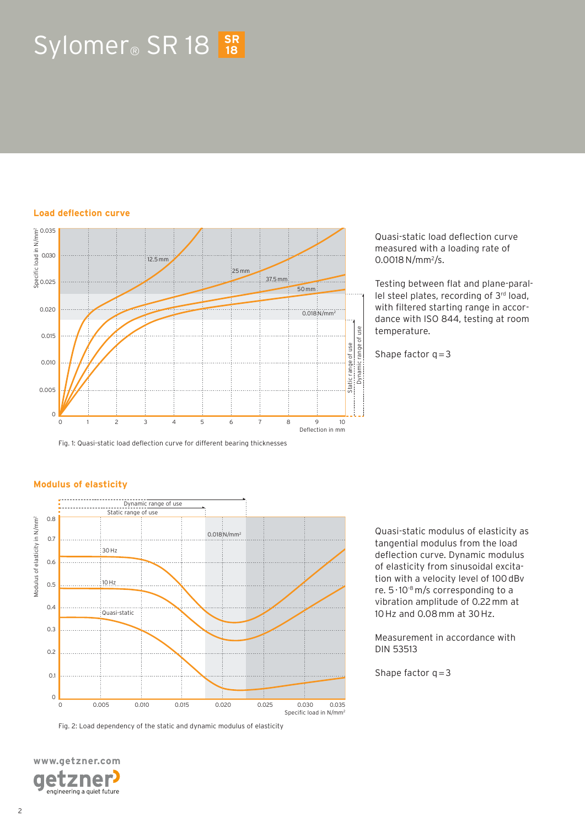# $Sylomer_{\circledcirc}$  SR 18  $_{18}^{SR}$

### **Load deflection curve**

**Modulus of elasticity**



Fig. 1: Quasi-static load deflection curve for different bearing thicknesses

Quasi-static load deflection curve measured with a loading rate of 0.0018 N/mm<sup>2</sup>/s.

Testing between flat and plane-parallel steel plates, recording of 3rd load, with filtered starting range in accordance with ISO 844, testing at room temperature.

Shape factor  $q = 3$ 



Fig. 2: Load dependency of the static and dynamic modulus of elasticity

0 0.005 0.010 0.015 0.020 0.025 0.030 0.035

Quasi-static modulus of elasticity as tangential modulus from the load deflection curve. Dynamic modulus of elasticity from sinusoidal excitation with a velocity level of 100 dBv re. 5 · 10-8 m/s corresponding to a vibration amplitude of 0.22 mm at 10 Hz and 0.08 mm at 30 Hz.

Measurement in accordance with DIN 53513

Shape factor  $q = 3$ 

Specific load in N/mm2

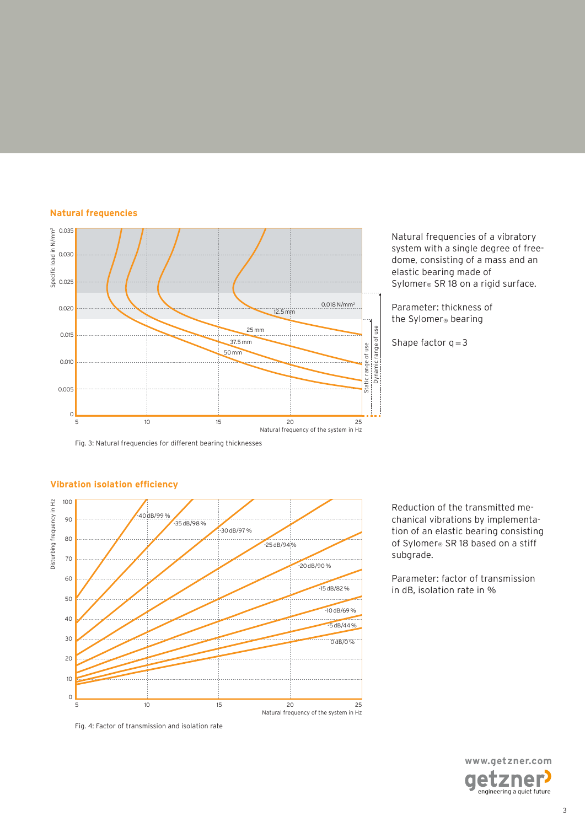### **Natural frequencies**



Fig. 3: Natural frequencies for different bearing thicknesses



### **Vibration isolation efficiency**

Fig. 4: Factor of transmission and isolation rate

Natural frequencies of a vibratory system with a single degree of freedome, consisting of a mass and an elastic bearing made of Sylomer® SR 18 on a rigid surface.

Parameter: thickness of the Sylomer® bearing

Shape factor  $q = 3$ 

Reduction of the transmitted mechanical vibrations by implementation of an elastic bearing consisting of Sylomer® SR 18 based on a stiff subgrade.

Parameter: factor of transmission in dB, isolation rate in %